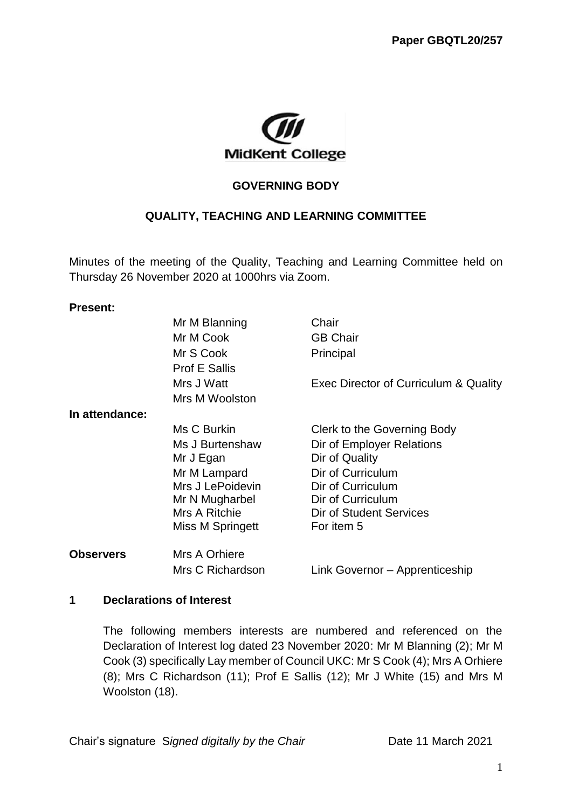

### **GOVERNING BODY**

## **QUALITY, TEACHING AND LEARNING COMMITTEE**

Minutes of the meeting of the Quality, Teaching and Learning Committee held on Thursday 26 November 2020 at 1000hrs via Zoom.

#### **Present:**

|                  | Mr M Blanning        | Chair                                 |
|------------------|----------------------|---------------------------------------|
|                  | Mr M Cook            | <b>GB Chair</b>                       |
|                  | Mr S Cook            | Principal                             |
|                  | <b>Prof E Sallis</b> |                                       |
|                  | Mrs J Watt           | Exec Director of Curriculum & Quality |
|                  | Mrs M Woolston       |                                       |
| In attendance:   |                      |                                       |
|                  | Ms C Burkin          | Clerk to the Governing Body           |
|                  | Ms J Burtenshaw      | Dir of Employer Relations             |
|                  | Mr J Egan            | Dir of Quality                        |
|                  | Mr M Lampard         | Dir of Curriculum                     |
|                  | Mrs J LePoidevin     | Dir of Curriculum                     |
|                  | Mr N Mugharbel       | Dir of Curriculum                     |
|                  | Mrs A Ritchie        | Dir of Student Services               |
|                  | Miss M Springett     | For item 5                            |
| <b>Observers</b> | Mrs A Orhiere        |                                       |
|                  | Mrs C Richardson     | Link Governor - Apprenticeship        |
|                  |                      |                                       |

#### **1 Declarations of Interest**

The following members interests are numbered and referenced on the Declaration of Interest log dated 23 November 2020: Mr M Blanning (2); Mr M Cook (3) specifically Lay member of Council UKC: Mr S Cook (4); Mrs A Orhiere (8); Mrs C Richardson (11); Prof E Sallis (12); Mr J White (15) and Mrs M Woolston (18).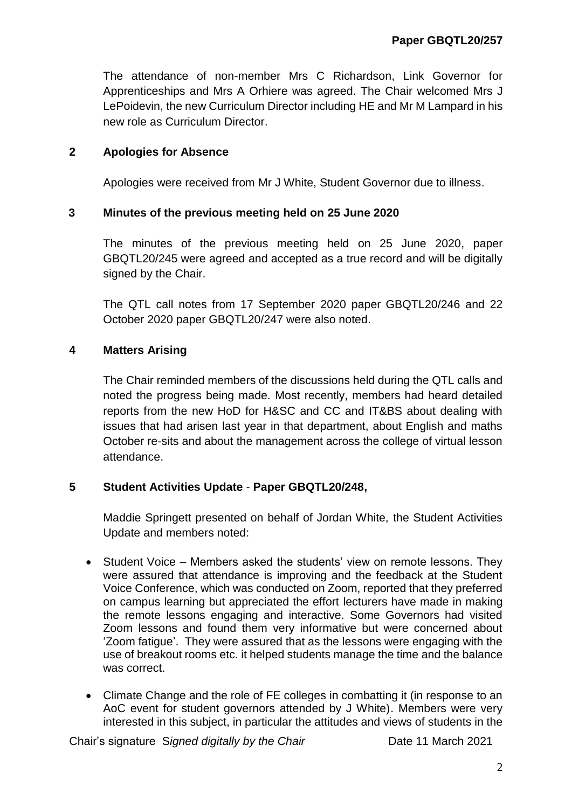The attendance of non-member Mrs C Richardson, Link Governor for Apprenticeships and Mrs A Orhiere was agreed. The Chair welcomed Mrs J LePoidevin, the new Curriculum Director including HE and Mr M Lampard in his new role as Curriculum Director.

## **2 Apologies for Absence**

Apologies were received from Mr J White, Student Governor due to illness.

### **3 Minutes of the previous meeting held on 25 June 2020**

The minutes of the previous meeting held on 25 June 2020, paper GBQTL20/245 were agreed and accepted as a true record and will be digitally signed by the Chair.

The QTL call notes from 17 September 2020 paper GBQTL20/246 and 22 October 2020 paper GBQTL20/247 were also noted.

### **4 Matters Arising**

The Chair reminded members of the discussions held during the QTL calls and noted the progress being made. Most recently, members had heard detailed reports from the new HoD for H&SC and CC and IT&BS about dealing with issues that had arisen last year in that department, about English and maths October re-sits and about the management across the college of virtual lesson attendance.

### **5 Student Activities Update** - **Paper GBQTL20/248,**

Maddie Springett presented on behalf of Jordan White, the Student Activities Update and members noted:

- Student Voice Members asked the students' view on remote lessons. They were assured that attendance is improving and the feedback at the Student Voice Conference, which was conducted on Zoom, reported that they preferred on campus learning but appreciated the effort lecturers have made in making the remote lessons engaging and interactive. Some Governors had visited Zoom lessons and found them very informative but were concerned about 'Zoom fatigue'. They were assured that as the lessons were engaging with the use of breakout rooms etc. it helped students manage the time and the balance was correct.
- Climate Change and the role of FE colleges in combatting it (in response to an AoC event for student governors attended by J White). Members were very interested in this subject, in particular the attitudes and views of students in the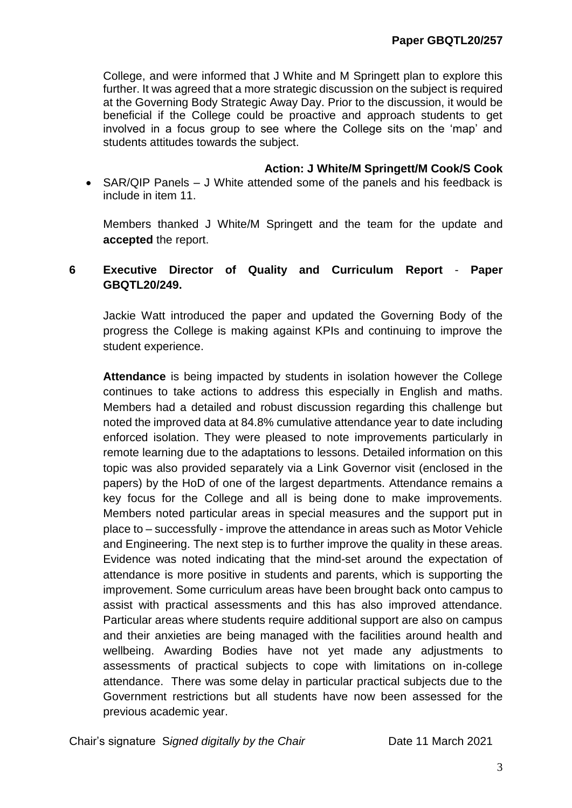College, and were informed that J White and M Springett plan to explore this further. It was agreed that a more strategic discussion on the subject is required at the Governing Body Strategic Away Day. Prior to the discussion, it would be beneficial if the College could be proactive and approach students to get involved in a focus group to see where the College sits on the 'map' and students attitudes towards the subject.

**Action: J White/M Springett/M Cook/S Cook**

• SAR/QIP Panels – J White attended some of the panels and his feedback is include in item 11.

Members thanked J White/M Springett and the team for the update and **accepted** the report.

## **6 Executive Director of Quality and Curriculum Report** - **Paper GBQTL20/249.**

Jackie Watt introduced the paper and updated the Governing Body of the progress the College is making against KPIs and continuing to improve the student experience.

**Attendance** is being impacted by students in isolation however the College continues to take actions to address this especially in English and maths. Members had a detailed and robust discussion regarding this challenge but noted the improved data at 84.8% cumulative attendance year to date including enforced isolation. They were pleased to note improvements particularly in remote learning due to the adaptations to lessons. Detailed information on this topic was also provided separately via a Link Governor visit (enclosed in the papers) by the HoD of one of the largest departments. Attendance remains a key focus for the College and all is being done to make improvements. Members noted particular areas in special measures and the support put in place to – successfully - improve the attendance in areas such as Motor Vehicle and Engineering. The next step is to further improve the quality in these areas. Evidence was noted indicating that the mind-set around the expectation of attendance is more positive in students and parents, which is supporting the improvement. Some curriculum areas have been brought back onto campus to assist with practical assessments and this has also improved attendance. Particular areas where students require additional support are also on campus and their anxieties are being managed with the facilities around health and wellbeing. Awarding Bodies have not yet made any adjustments to assessments of practical subjects to cope with limitations on in-college attendance. There was some delay in particular practical subjects due to the Government restrictions but all students have now been assessed for the previous academic year.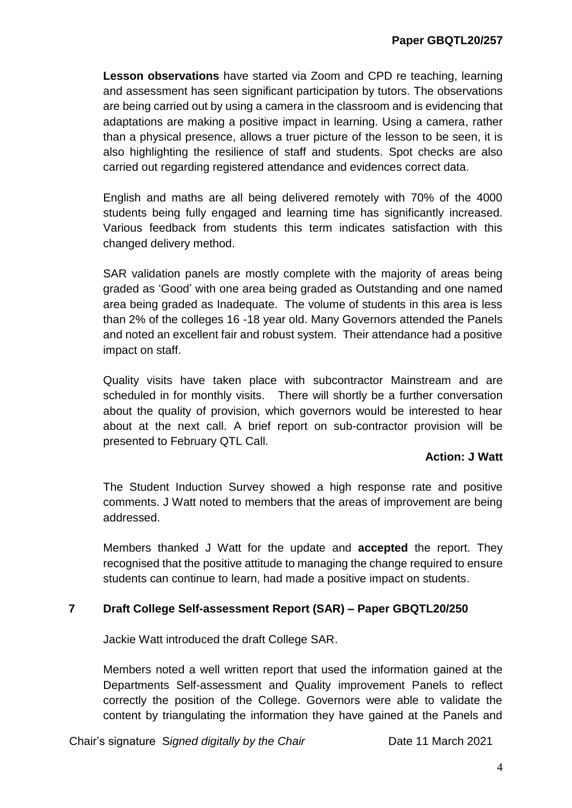**Lesson observations** have started via Zoom and CPD re teaching, learning and assessment has seen significant participation by tutors. The observations are being carried out by using a camera in the classroom and is evidencing that adaptations are making a positive impact in learning. Using a camera, rather than a physical presence, allows a truer picture of the lesson to be seen, it is also highlighting the resilience of staff and students. Spot checks are also carried out regarding registered attendance and evidences correct data.

English and maths are all being delivered remotely with 70% of the 4000 students being fully engaged and learning time has significantly increased. Various feedback from students this term indicates satisfaction with this changed delivery method.

SAR validation panels are mostly complete with the majority of areas being graded as 'Good' with one area being graded as Outstanding and one named area being graded as Inadequate. The volume of students in this area is less than 2% of the colleges 16 -18 year old. Many Governors attended the Panels and noted an excellent fair and robust system. Their attendance had a positive impact on staff.

Quality visits have taken place with subcontractor Mainstream and are scheduled in for monthly visits. There will shortly be a further conversation about the quality of provision, which governors would be interested to hear about at the next call. A brief report on sub-contractor provision will be presented to February QTL Call.

### **Action: J Watt**

The Student Induction Survey showed a high response rate and positive comments. J Watt noted to members that the areas of improvement are being addressed.

Members thanked J Watt for the update and **accepted** the report. They recognised that the positive attitude to managing the change required to ensure students can continue to learn, had made a positive impact on students.

### **7 Draft College Self-assessment Report (SAR) – Paper GBQTL20/250**

Jackie Watt introduced the draft College SAR.

Members noted a well written report that used the information gained at the Departments Self-assessment and Quality improvement Panels to reflect correctly the position of the College. Governors were able to validate the content by triangulating the information they have gained at the Panels and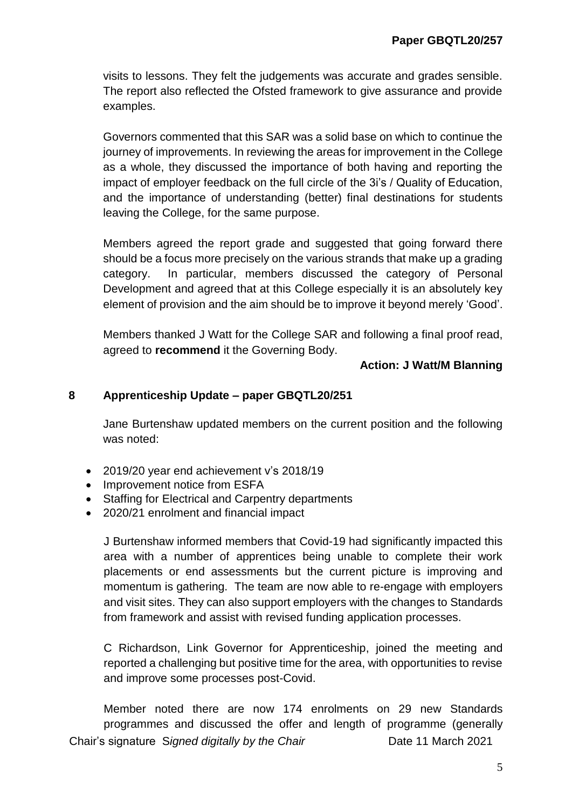visits to lessons. They felt the judgements was accurate and grades sensible. The report also reflected the Ofsted framework to give assurance and provide examples.

Governors commented that this SAR was a solid base on which to continue the journey of improvements. In reviewing the areas for improvement in the College as a whole, they discussed the importance of both having and reporting the impact of employer feedback on the full circle of the 3i's / Quality of Education, and the importance of understanding (better) final destinations for students leaving the College, for the same purpose.

Members agreed the report grade and suggested that going forward there should be a focus more precisely on the various strands that make up a grading category. In particular, members discussed the category of Personal Development and agreed that at this College especially it is an absolutely key element of provision and the aim should be to improve it beyond merely 'Good'.

Members thanked J Watt for the College SAR and following a final proof read, agreed to **recommend** it the Governing Body.

#### **Action: J Watt/M Blanning**

#### **8 Apprenticeship Update – paper GBQTL20/251**

Jane Burtenshaw updated members on the current position and the following was noted:

- 2019/20 year end achievement v's 2018/19
- Improvement notice from ESFA
- Staffing for Electrical and Carpentry departments
- 2020/21 enrolment and financial impact

J Burtenshaw informed members that Covid-19 had significantly impacted this area with a number of apprentices being unable to complete their work placements or end assessments but the current picture is improving and momentum is gathering. The team are now able to re-engage with employers and visit sites. They can also support employers with the changes to Standards from framework and assist with revised funding application processes.

C Richardson, Link Governor for Apprenticeship, joined the meeting and reported a challenging but positive time for the area, with opportunities to revise and improve some processes post-Covid.

Chair's signature S*igned digitally by the Chair* Date 11 March 2021 Member noted there are now 174 enrolments on 29 new Standards programmes and discussed the offer and length of programme (generally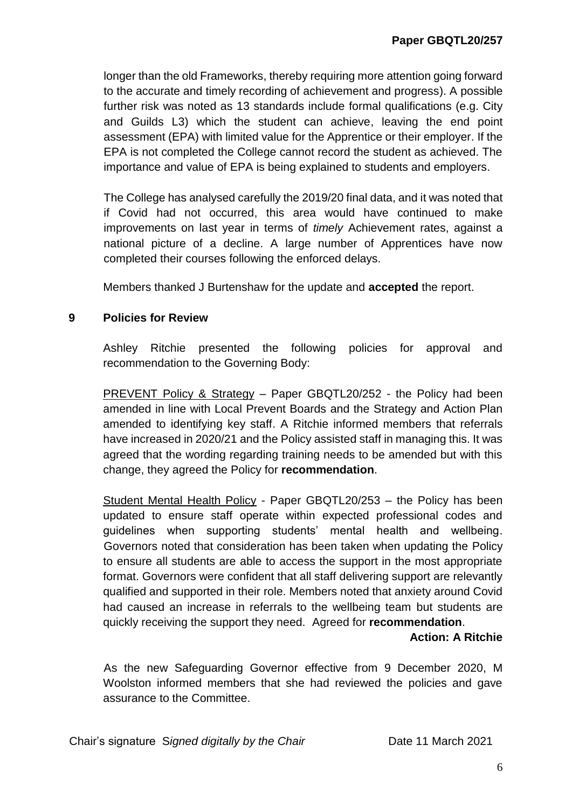longer than the old Frameworks, thereby requiring more attention going forward to the accurate and timely recording of achievement and progress). A possible further risk was noted as 13 standards include formal qualifications (e.g. City and Guilds L3) which the student can achieve, leaving the end point assessment (EPA) with limited value for the Apprentice or their employer. If the EPA is not completed the College cannot record the student as achieved. The importance and value of EPA is being explained to students and employers.

The College has analysed carefully the 2019/20 final data, and it was noted that if Covid had not occurred, this area would have continued to make improvements on last year in terms of *timely* Achievement rates, against a national picture of a decline. A large number of Apprentices have now completed their courses following the enforced delays.

Members thanked J Burtenshaw for the update and **accepted** the report.

### **9 Policies for Review**

Ashley Ritchie presented the following policies for approval and recommendation to the Governing Body:

PREVENT Policy & Strategy – Paper GBQTL20/252 - the Policy had been amended in line with Local Prevent Boards and the Strategy and Action Plan amended to identifying key staff. A Ritchie informed members that referrals have increased in 2020/21 and the Policy assisted staff in managing this. It was agreed that the wording regarding training needs to be amended but with this change, they agreed the Policy for **recommendation**.

Student Mental Health Policy - Paper GBQTL20/253 – the Policy has been updated to ensure staff operate within expected professional codes and guidelines when supporting students' mental health and wellbeing. Governors noted that consideration has been taken when updating the Policy to ensure all students are able to access the support in the most appropriate format. Governors were confident that all staff delivering support are relevantly qualified and supported in their role. Members noted that anxiety around Covid had caused an increase in referrals to the wellbeing team but students are quickly receiving the support they need. Agreed for **recommendation**.

#### **Action: A Ritchie**

As the new Safeguarding Governor effective from 9 December 2020, M Woolston informed members that she had reviewed the policies and gave assurance to the Committee.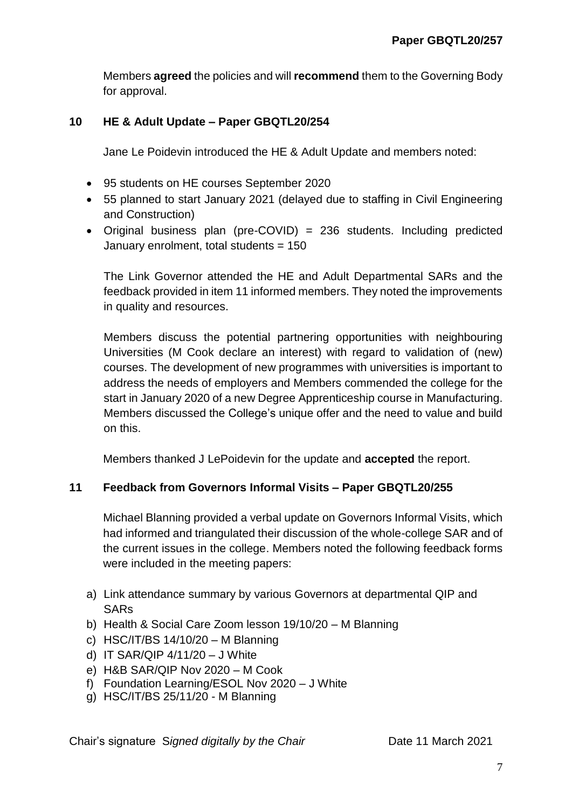Members **agreed** the policies and will **recommend** them to the Governing Body for approval.

### **10 HE & Adult Update – Paper GBQTL20/254**

Jane Le Poidevin introduced the HE & Adult Update and members noted:

- 95 students on HE courses September 2020
- 55 planned to start January 2021 (delayed due to staffing in Civil Engineering and Construction)
- Original business plan (pre-COVID) = 236 students. Including predicted January enrolment, total students = 150

The Link Governor attended the HE and Adult Departmental SARs and the feedback provided in item 11 informed members. They noted the improvements in quality and resources.

Members discuss the potential partnering opportunities with neighbouring Universities (M Cook declare an interest) with regard to validation of (new) courses. The development of new programmes with universities is important to address the needs of employers and Members commended the college for the start in January 2020 of a new Degree Apprenticeship course in Manufacturing. Members discussed the College's unique offer and the need to value and build on this.

Members thanked J LePoidevin for the update and **accepted** the report.

# **11 Feedback from Governors Informal Visits – Paper GBQTL20/255**

Michael Blanning provided a verbal update on Governors Informal Visits, which had informed and triangulated their discussion of the whole-college SAR and of the current issues in the college. Members noted the following feedback forms were included in the meeting papers:

- a) Link attendance summary by various Governors at departmental QIP and **SAR<sub>s</sub>**
- b) Health & Social Care Zoom lesson 19/10/20 M Blanning
- c) HSC/IT/BS 14/10/20 M Blanning
- d) IT SAR/QIP 4/11/20 J White
- e) H&B SAR/QIP Nov 2020 M Cook
- f) Foundation Learning/ESOL Nov 2020 J White
- g) HSC/IT/BS 25/11/20 M Blanning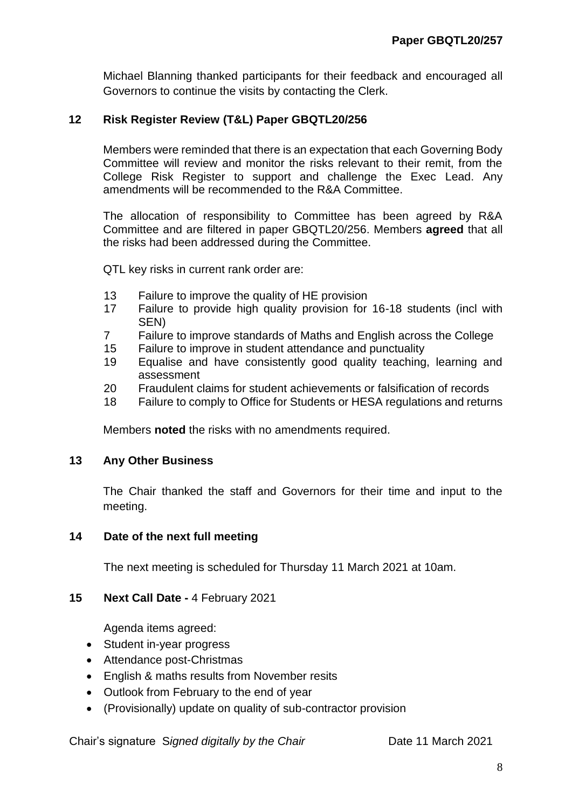Michael Blanning thanked participants for their feedback and encouraged all Governors to continue the visits by contacting the Clerk.

## **12 Risk Register Review (T&L) Paper GBQTL20/256**

Members were reminded that there is an expectation that each Governing Body Committee will review and monitor the risks relevant to their remit, from the College Risk Register to support and challenge the Exec Lead. Any amendments will be recommended to the R&A Committee.

The allocation of responsibility to Committee has been agreed by R&A Committee and are filtered in paper GBQTL20/256. Members **agreed** that all the risks had been addressed during the Committee.

QTL key risks in current rank order are:

- 13 Failure to improve the quality of HE provision
- 17 Failure to provide high quality provision for 16-18 students (incl with SEN)
- 7 Failure to improve standards of Maths and English across the College
- 15 Failure to improve in student attendance and punctuality
- 19 Equalise and have consistently good quality teaching, learning and assessment
- 20 Fraudulent claims for student achievements or falsification of records
- 18 Failure to comply to Office for Students or HESA regulations and returns

Members **noted** the risks with no amendments required.

#### **13 Any Other Business**

The Chair thanked the staff and Governors for their time and input to the meeting.

#### **14 Date of the next full meeting**

The next meeting is scheduled for Thursday 11 March 2021 at 10am.

### **15 Next Call Date -** 4 February 2021

Agenda items agreed:

- Student in-year progress
- Attendance post-Christmas
- English & maths results from November resits
- Outlook from February to the end of year
- (Provisionally) update on quality of sub-contractor provision